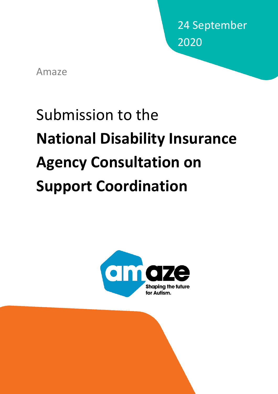24 September 2020

Amaze

# Submission to the **National Disability Insurance Agency Consultation on Support Coordination**

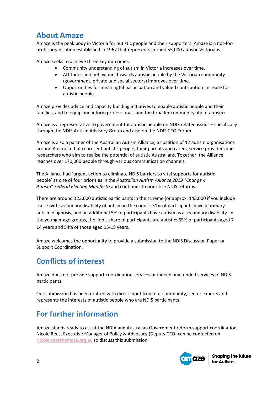# **About Amaze**

Amaze is the peak body in Victoria for autistic people and their supporters. Amaze is a not-forprofit organisation established in 1967 that represents around 55,000 autistic Victorians.

Amaze seeks to achieve three key outcomes:

- Community understanding of autism in Victoria increases over time.
- Attitudes and behaviours towards autistic people by the Victorian community (government, private and social sectors) improves over time.
- Opportunities for meaningful participation and valued contribution increase for autistic people.

Amaze provides advice and capacity building initiatives to enable autistic people and their families, and to equip and inform professionals and the broader community about autism).

Amaze is a representative to government for autistic people on NDIS related issues – specifically through the NDIS Autism Advisory Group and also on the NDIS CEO Forum.

Amaze is also a partner of the Australian Autism Alliance, a coalition of 12 autism organisations around Australia that represent autistic people, their parents and carers, service providers and researchers who aim to realise the potential of autistic Australians. Together, the Alliance reaches over 170,000 people through various communication channels.

The Alliance had 'urgent action to eliminate NDIS barriers to vital supports for autistic people' as one of four priorities in the *Australian Autism Alliance 2019 "Change 4 Autism" Federal Election Manifesto* and continues to prioritise NDIS reforms.

There are around 123,000 autistic participants in the scheme (or approx. 143,000 if you include those with secondary disability of autism in the count): 31% of participants have a primary autism diagnosis, and an additional 5% of participants have autism as a secondary disability. In the younger age groups, the lion's share of participants are autistic: 65% of participants aged 7- 14 years and 54% of those aged 15-18 years.

Amaze welcomes the opportunity to provide a submission to the NDIS Discussion Paper on Support Coordination.

# **Conflicts of interest**

Amaze does not provide support coordination services or indeed any funded services to NDIS participants.

Our submission has been drafted with direct input from our community, sector experts and represents the interests of autistic people who are NDIS participants.

# **For further information**

Amaze stands ready to assist the NDIA and Australian Government reform support coordination. Nicole Rees, Executive Manager of Policy & Advocacy (Deputy CEO) can be contacted on Nicole.rees@amaze.org.au to discuss this submission.

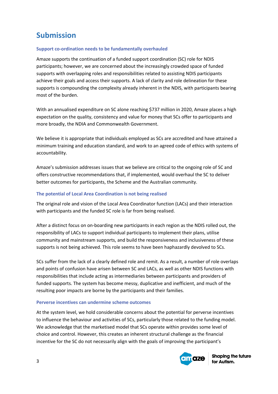# **Submission**

## **Support co-ordination needs to be fundamentally overhauled**

Amaze supports the continuation of a funded support coordination (SC) role for NDIS participants; however, we are concerned about the increasingly crowded space of funded supports with overlapping roles and responsibilities related to assisting NDIS participants achieve their goals and access their supports. A lack of clarity and role delineation for these supports is compounding the complexity already inherent in the NDIS, with participants bearing most of the burden.

With an annualised expenditure on SC alone reaching \$737 million in 2020, Amaze places a high expectation on the quality, consistency and value for money that SCs offer to participants and more broadly, the NDIA and Commonwealth Government.

We believe it is appropriate that individuals employed as SCs are accredited and have attained a minimum training and education standard, and work to an agreed code of ethics with systems of accountability.

Amaze's submission addresses issues that we believe are critical to the ongoing role of SC and offers constructive recommendations that, if implemented, would overhaul the SC to deliver better outcomes for participants, the Scheme and the Australian community.

## **The potential of Local Area Coordination is not being realised**

The original role and vision of the Local Area Coordinator function (LACs) and their interaction with participants and the funded SC role is far from being realised.

After a distinct focus on on-boarding new participants in each region as the NDIS rolled out, the responsibility of LACs to support individual participants to implement their plans, utilise community and mainstream supports, and build the responsiveness and inclusiveness of these supports is not being achieved. This role seems to have been haphazardly devolved to SCs.

SCs suffer from the lack of a clearly defined role and remit. As a result, a number of role overlaps and points of confusion have arisen between SC and LACs, as well as other NDIS functions with responsibilities that include acting as intermediaries between participants and providers of funded supports. The system has become messy, duplicative and inefficient, and much of the resulting poor impacts are borne by the participants and their families.

## **Perverse incentives can undermine scheme outcomes**

At the system level, we hold considerable concerns about the potential for perverse incentives to influence the behaviour and activities of SCs, particularly those related to the funding model. We acknowledge that the marketised model that SCs operate within provides some level of choice and control. However, this creates an inherent structural challenge as the financial incentive for the SC do not necessarily align with the goals of improving the participant's

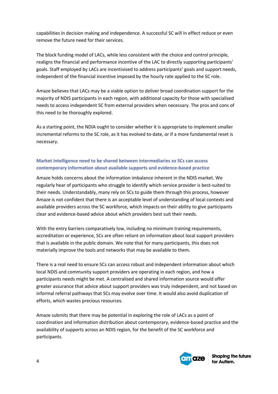capabilities in decision making and independence. A successful SC will in effect reduce or even remove the future need for their services.

The block funding model of LACs, while less consistent with the choice and control principle, realigns the financial and performance incentive of the LAC to directly supporting participants' goals. Staff employed by LACs are incentivised to address participants' goals and support needs, independent of the financial incentive imposed by the hourly rate applied to the SC role.

Amaze believes that LACs may be a viable option to deliver broad coordination support for the majority of NDIS participants in each region, with additional capacity for those with specialised needs to access independent SC from external providers when necessary. The pros and cons of this need to be thoroughly explored.

As a starting point, the NDIA ought to consider whether it is appropriate to implement smaller incremental reforms to the SC role, as it has evolved to-date, or if a more fundamental reset is necessary.

# **Market intelligence need to be shared between intermediaries so SCs can access contemporary information about available supports and evidence-based practice**

Amaze holds concerns about the information imbalance inherent in the NDIS market. We regularly hear of participants who struggle to identify which service provider is best-suited to their needs. Understandably, many rely on SCs to guide them through this process, however Amaze is not confident that there is an acceptable level of understanding of local contexts and available providers across the SC workforce, which impacts on their ability to give participants clear and evidence-based advice about which providers best suit their needs.

With the entry barriers comparatively low, including no minimum training requirements, accreditation or experience, SCs are often reliant on information about local support providers that is available in the public domain. We note that for many participants, this does not materially improve the tools and networks that may be available to them.

There is a real need to ensure SCs can access robust and independent information about which local NDIS and community support providers are operating in each region, and how a participants needs might be met. A centralised and shared information source would offer greater assurance that advice about support providers was truly independent, and not based on informal referral pathways that SCs may evolve over time. It would also avoid duplication of efforts, which wastes precious resources.

Amaze submits that there may be potential in exploring the role of LACs as a point of coordination and information distribution about contemporary, evidence-based practice and the availability of supports across an NDIS region, for the benefit of the SC workforce and participants.

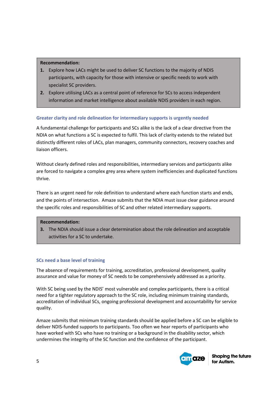### **Recommendation:**

- **1.** Explore how LACs might be used to deliver SC functions to the majority of NDIS participants, with capacity for those with intensive or specific needs to work with specialist SC providers.
- **2.** Explore utilising LACs as a central point of reference for SCs to access independent information and market intelligence about available NDIS providers in each region.

#### **Greater clarity and role delineation for intermediary supports is urgently needed**

A fundamental challenge for participants and SCs alike is the lack of a clear directive from the NDIA on what functions a SC is expected to fulfil. This lack of clarity extends to the related but distinctly different roles of LACs, plan managers, community connectors, recovery coaches and liaison officers.

Without clearly defined roles and responsibilities, intermediary services and participants alike are forced to navigate a complex grey area where system inefficiencies and duplicated functions thrive.

There is an urgent need for role definition to understand where each function starts and ends, and the points of intersection. Amaze submits that the NDIA must issue clear guidance around the specific roles and responsibilities of SC and other related intermediary supports.

#### **Recommendation:**

**3.** The NDIA should issue a clear determination about the role delineation and acceptable activities for a SC to undertake.

#### **SCs need a base level of training**

The absence of requirements for training, accreditation, professional development, quality assurance and value for money of SC needs to be comprehensively addressed as a priority.

With SC being used by the NDIS' most vulnerable and complex participants, there is a critical need for a tighter regulatory approach to the SC role, including minimum training standards, accreditation of individual SCs, ongoing professional development and accountability for service quality.

Amaze submits that minimum training standards should be applied before a SC can be eligible to deliver NDIS-funded supports to participants. Too often we hear reports of participants who have worked with SCs who have no training or a background in the disability sector, which undermines the integrity of the SC function and the confidence of the participant.

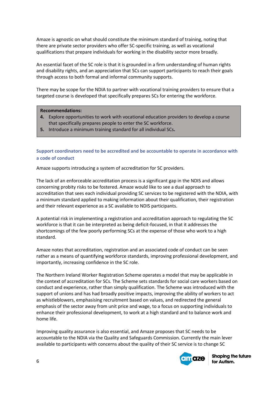Amaze is agnostic on what should constitute the minimum standard of training, noting that there are private sector providers who offer SC-specific training, as well as vocational qualifications that prepare individuals for working in the disability sector more broadly.

An essential facet of the SC role is that it is grounded in a firm understanding of human rights and disability rights, and an appreciation that SCs can support participants to reach their goals through access to both formal and informal community supports.

There may be scope for the NDIA to partner with vocational training providers to ensure that a targeted course is developed that specifically prepares SCs for entering the workforce.

#### **Recommendations:**

- **4.** Explore opportunities to work with vocational education providers to develop a course that specifically prepares people to enter the SC workforce.
- **5.** Introduce a minimum training standard for all individual SCs**.**

## **Support coordinators need to be accredited and be accountable to operate in accordance with a code of conduct**

Amaze supports introducing a system of accreditation for SC providers.

The lack of an enforceable accreditation process is a significant gap in the NDIS and allows concerning probity risks to be fostered. Amaze would like to see a dual approach to accreditation that sees each individual providing SC services to be registered with the NDIA, with a minimum standard applied to making information about their qualification, their registration and their relevant experience as a SC available to NDIS participants.

A potential risk in implementing a registration and accreditation approach to regulating the SC workforce is that it can be interpreted as being deficit-focused, in that it addresses the shortcomings of the few poorly performing SCs at the expense of those who work to a high standard.

Amaze notes that accreditation, registration and an associated code of conduct can be seen rather as a means of quantifying workforce standards, improving professional development, and importantly, increasing confidence in the SC role.

The Northern Ireland Worker Registration Scheme operates a model that may be applicable in the context of accreditation for SCs. The Scheme sets standards for social care workers based on conduct and experience, rather than simply qualification. The Scheme was introduced with the support of unions and has had broadly positive impacts, improving the ability of workers to act as whistleblowers, emphasising recruitment based on values, and redirected the general emphasis of the sector away from unit price and wage, to a focus on supporting individuals to enhance their professional development, to work at a high standard and to balance work and home life.

Improving quality assurance is also essential, and Amaze proposes that SC needs to be accountable to the NDIA via the Quality and Safeguards Commission. Currently the main lever available to participants with concerns about the quality of their SC service is to change SC

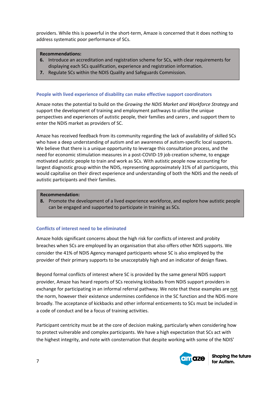providers. While this is powerful in the short-term, Amaze is concerned that it does nothing to address systematic poor performance of SCs.

#### **Recommendations:**

- **6.** Introduce an accreditation and registration scheme for SCs, with clear requirements for displaying each SCs qualification, experience and registration information.
- **7.** Regulate SCs within the NDIS Quality and Safeguards Commission.

#### **People with lived experience of disability can make effective support coordinators**

Amaze notes the potential to build on the *Growing the NDIS Market and Workforce Strategy* and support the development of training and employment pathways to utilise the unique perspectives and experiences of autistic people, their families and carers , and support them to enter the NDIS market as providers of SC.

Amaze has received feedback from its community regarding the lack of availability of skilled SCs who have a deep understanding of autism and an awareness of autism-specific local supports. We believe that there is a unique opportunity to leverage this consultation process, and the need for economic stimulation measures in a post-COVID-19 job creation scheme, to engage motivated autistic people to train and work as SCs. With autistic people now accounting for largest diagnostic group within the NDIS, representing approximately 31% of all participants, this would capitalise on their direct experience and understanding of both the NDIS and the needs of autistic participants and their families.

#### **Recommendation:**

**8.** Promote the development of a lived experience workforce, and explore how autistic people can be engaged and supported to participate in training as SCs.

#### **Conflicts of interest need to be eliminated**

Amaze holds significant concerns about the high risk for conflicts of interest and probity breaches when SCs are employed by an organisation that also offers other NDIS supports. We consider the 41% of NDIS Agency managed participants whose SC is also employed by the provider of their primary supports to be unacceptably high and an indicator of design flaws.

Beyond formal conflicts of interest where SC is provided by the same general NDIS support provider, Amaze has heard reports of SCs receiving kickbacks from NDIS support providers in exchange for participating in an informal referral pathway. We note that these examples are not the norm, however their existence undermines confidence in the SC function and the NDIS more broadly. The acceptance of kickbacks and other informal enticements to SCs must be included in a code of conduct and be a focus of training activities.

Participant centricity must be at the core of decision making, particularly when considering how to protect vulnerable and complex participants. We have a high expectation that SCs act with the highest integrity, and note with consternation that despite working with some of the NDIS'